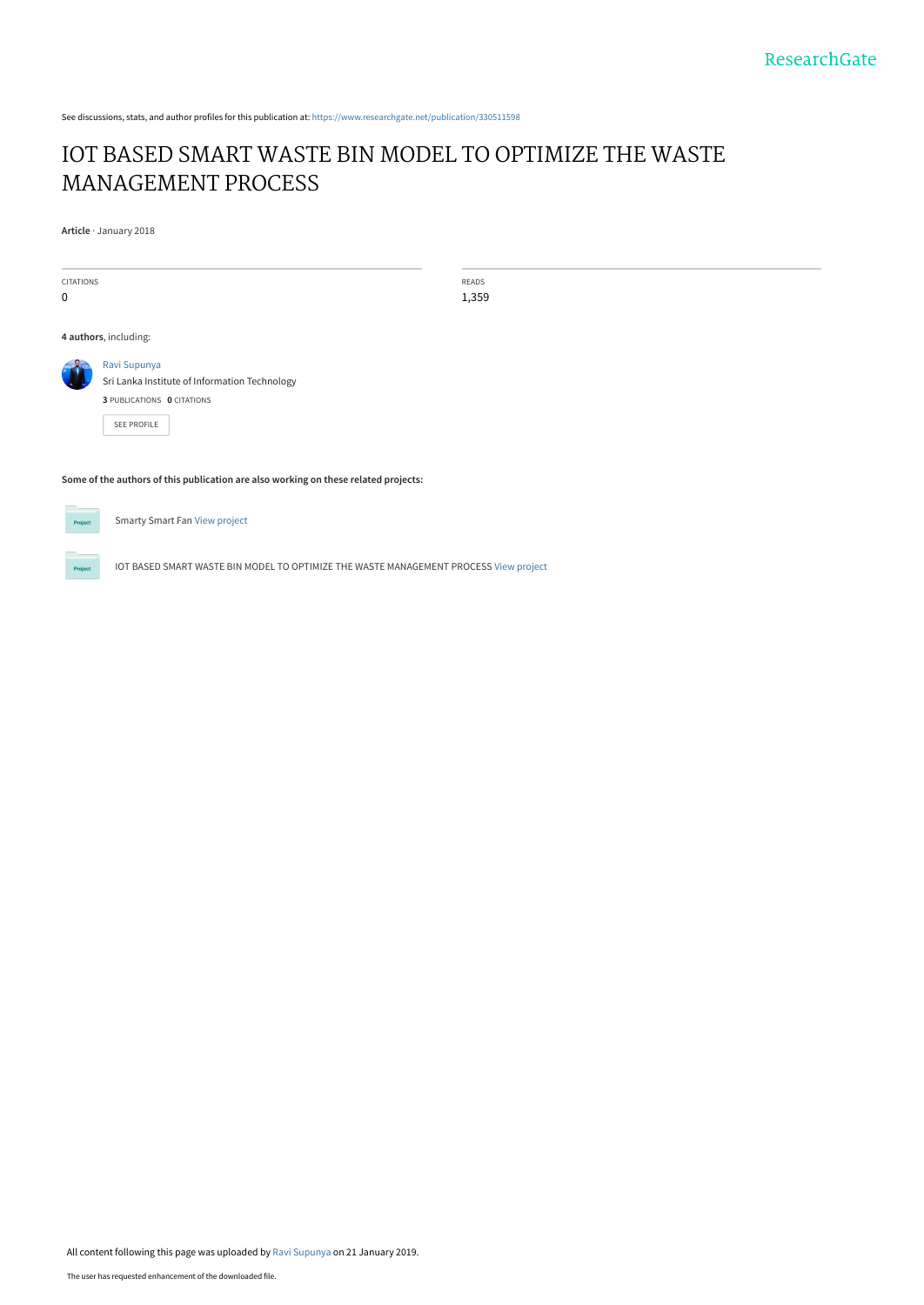See discussions, stats, and author profiles for this publication at: [https://www.researchgate.net/publication/330511598](https://www.researchgate.net/publication/330511598_IOT_BASED_SMART_WASTE_BIN_MODEL_TO_OPTIMIZE_THE_WASTE_MANAGEMENT_PROCESS?enrichId=rgreq-a5074b3d3211f49331485785475b1a38-XXX&enrichSource=Y292ZXJQYWdlOzMzMDUxMTU5ODtBUzo3MTczNTI0OTY3OTk3NDRAMTU0ODA0MTU3MTQ5OQ%3D%3D&el=1_x_2&_esc=publicationCoverPdf)

# [IOT BASED SMART WASTE BIN MODEL TO OPTIMIZE THE WASTE](https://www.researchgate.net/publication/330511598_IOT_BASED_SMART_WASTE_BIN_MODEL_TO_OPTIMIZE_THE_WASTE_MANAGEMENT_PROCESS?enrichId=rgreq-a5074b3d3211f49331485785475b1a38-XXX&enrichSource=Y292ZXJQYWdlOzMzMDUxMTU5ODtBUzo3MTczNTI0OTY3OTk3NDRAMTU0ODA0MTU3MTQ5OQ%3D%3D&el=1_x_3&_esc=publicationCoverPdf) MANAGEMENT PROCESS

**Article** · January 2018

CITATIONS  $\overline{0}$ READS 1,359 **4 authors**, including: [Ravi Supunya](https://www.researchgate.net/profile/Ravi_Supunya?enrichId=rgreq-a5074b3d3211f49331485785475b1a38-XXX&enrichSource=Y292ZXJQYWdlOzMzMDUxMTU5ODtBUzo3MTczNTI0OTY3OTk3NDRAMTU0ODA0MTU3MTQ5OQ%3D%3D&el=1_x_5&_esc=publicationCoverPdf) [Sri Lanka Institute of Information Technology](https://www.researchgate.net/institution/Sri_Lanka_Institute_of_Information_Technology?enrichId=rgreq-a5074b3d3211f49331485785475b1a38-XXX&enrichSource=Y292ZXJQYWdlOzMzMDUxMTU5ODtBUzo3MTczNTI0OTY3OTk3NDRAMTU0ODA0MTU3MTQ5OQ%3D%3D&el=1_x_6&_esc=publicationCoverPdf) **3** PUBLICATIONS **0** CITATIONS [SEE PROFILE](https://www.researchgate.net/profile/Ravi_Supunya?enrichId=rgreq-a5074b3d3211f49331485785475b1a38-XXX&enrichSource=Y292ZXJQYWdlOzMzMDUxMTU5ODtBUzo3MTczNTI0OTY3OTk3NDRAMTU0ODA0MTU3MTQ5OQ%3D%3D&el=1_x_7&_esc=publicationCoverPdf)

**Some of the authors of this publication are also working on these related projects:**



 $P_{\text{rot}}$ 

Smarty Smart Fan [View project](https://www.researchgate.net/project/Smarty-Smart-Fan?enrichId=rgreq-a5074b3d3211f49331485785475b1a38-XXX&enrichSource=Y292ZXJQYWdlOzMzMDUxMTU5ODtBUzo3MTczNTI0OTY3OTk3NDRAMTU0ODA0MTU3MTQ5OQ%3D%3D&el=1_x_9&_esc=publicationCoverPdf)

IOT BASED SMART WASTE BIN MODEL TO OPTIMIZE THE WASTE MANAGEMENT PROCESS [View project](https://www.researchgate.net/project/IOT-BASED-SMART-WASTE-BIN-MODEL-TO-OPTIMIZE-THE-WASTE-MANAGEMENT-PROCESS?enrichId=rgreq-a5074b3d3211f49331485785475b1a38-XXX&enrichSource=Y292ZXJQYWdlOzMzMDUxMTU5ODtBUzo3MTczNTI0OTY3OTk3NDRAMTU0ODA0MTU3MTQ5OQ%3D%3D&el=1_x_9&_esc=publicationCoverPdf)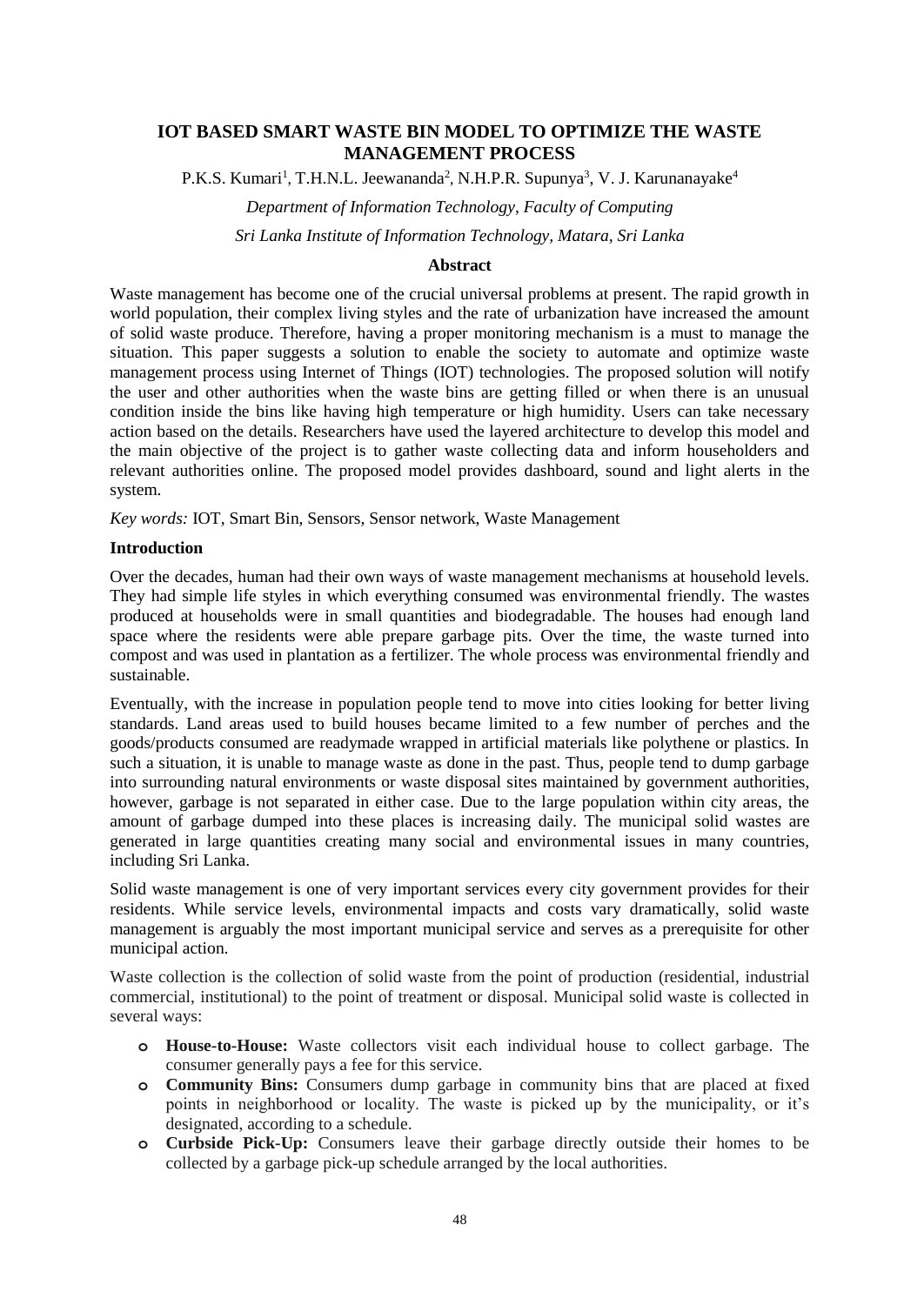## **IOT BASED SMART WASTE BIN MODEL TO OPTIMIZE THE WASTE MANAGEMENT PROCESS**

P.K.S. Kumari<sup>1</sup>, T.H.N.L. Jeewananda<sup>2</sup>, N.H.P.R. Supunya<sup>3</sup>, V. J. Karunanayake<sup>4</sup>

*Department of Information Technology, Faculty of Computing*

*Sri Lanka Institute of Information Technology, Matara, Sri Lanka*

#### **Abstract**

Waste management has become one of the crucial universal problems at present. The rapid growth in world population, their complex living styles and the rate of urbanization have increased the amount of solid waste produce. Therefore, having a proper monitoring mechanism is a must to manage the situation. This paper suggests a solution to enable the society to automate and optimize waste management process using Internet of Things (IOT) technologies. The proposed solution will notify the user and other authorities when the waste bins are getting filled or when there is an unusual condition inside the bins like having high temperature or high humidity. Users can take necessary action based on the details. Researchers have used the layered architecture to develop this model and the main objective of the project is to gather waste collecting data and inform householders and relevant authorities online. The proposed model provides dashboard, sound and light alerts in the system.

*Key words:* IOT, Smart Bin, Sensors, Sensor network, Waste Management

#### **Introduction**

Over the decades, human had their own ways of waste management mechanisms at household levels. They had simple life styles in which everything consumed was environmental friendly. The wastes produced at households were in small quantities and biodegradable. The houses had enough land space where the residents were able prepare garbage pits. Over the time, the waste turned into compost and was used in plantation as a fertilizer. The whole process was environmental friendly and sustainable.

Eventually, with the increase in population people tend to move into cities looking for better living standards. Land areas used to build houses became limited to a few number of perches and the goods/products consumed are readymade wrapped in artificial materials like polythene or plastics. In such a situation, it is unable to manage waste as done in the past. Thus, people tend to dump garbage into surrounding natural environments or waste disposal sites maintained by government authorities, however, garbage is not separated in either case. Due to the large population within city areas, the amount of garbage dumped into these places is increasing daily. The municipal solid wastes are generated in large quantities creating many social and environmental issues in many countries, including Sri Lanka.

Solid waste management is one of very important services every city government provides for their residents. While service levels, environmental impacts and costs vary dramatically, solid waste management is arguably the most important municipal service and serves as a prerequisite for other municipal action.

Waste collection is the collection of solid waste from the point of production (residential, industrial commercial, institutional) to the point of treatment or disposal. Municipal solid waste is collected in several ways:

- **o House-to-House:** Waste collectors visit each individual house to collect garbage. The consumer generally pays a fee for this service.
- **o Community Bins:** Consumers dump garbage in community bins that are placed at fixed points in neighborhood or locality. The waste is picked up by the municipality, or it's designated, according to a schedule.
- **o Curbside Pick-Up:** Consumers leave their garbage directly outside their homes to be collected by a garbage pick-up schedule arranged by the local authorities.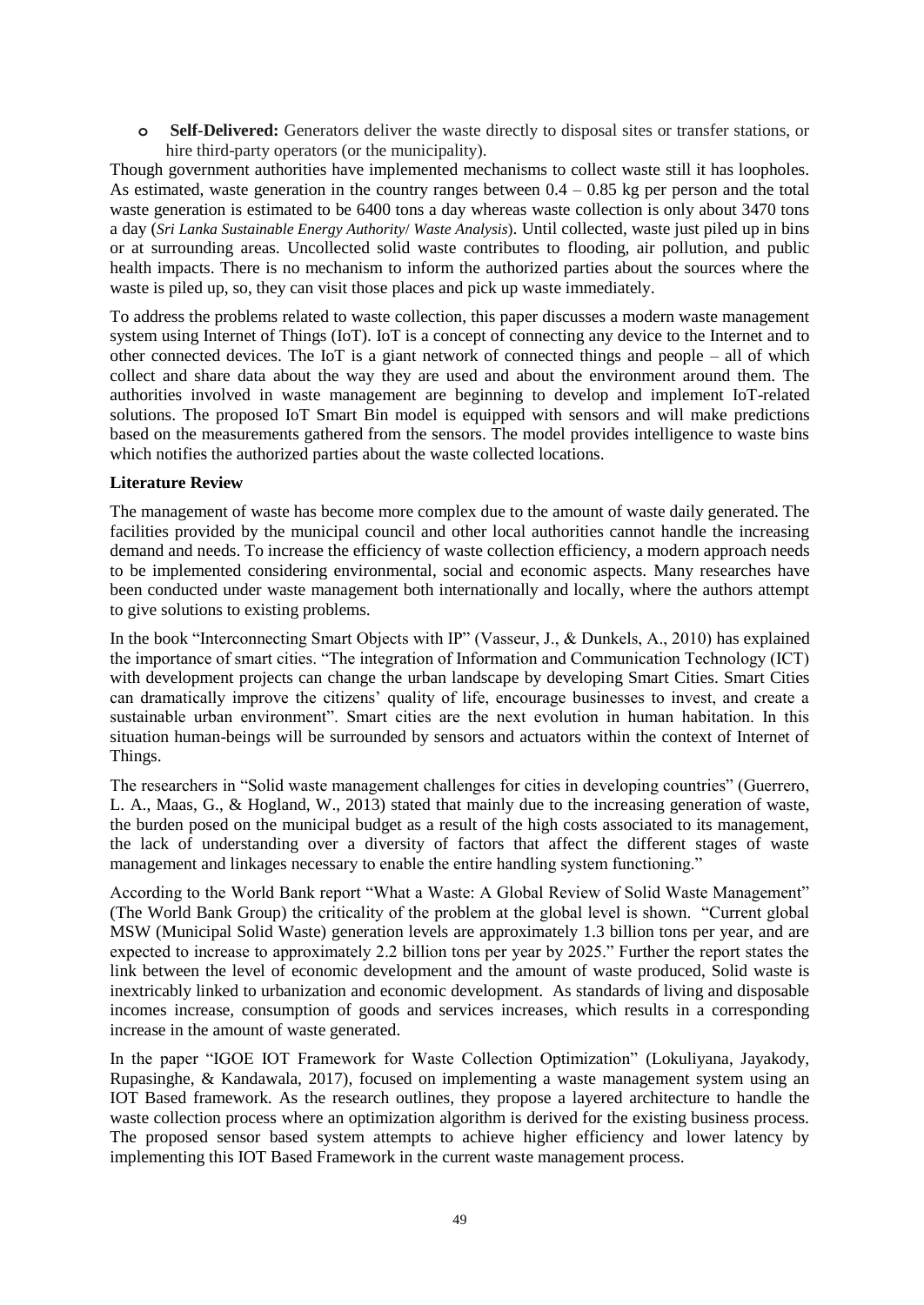**o Self-Delivered:** Generators deliver the waste directly to disposal sites or transfer stations, or hire third-party operators (or the municipality).

Though government authorities have implemented mechanisms to collect waste still it has loopholes. As estimated, waste generation in the country ranges between  $0.4 - 0.85$  kg per person and the total waste generation is estimated to be 6400 tons a day whereas waste collection is only about 3470 tons a day (*Sri Lanka Sustainable Energy Authority*/ *Waste Analysis*). Until collected, waste just piled up in bins or at surrounding areas. Uncollected solid waste contributes to flooding, air pollution, and public health impacts. There is no mechanism to inform the authorized parties about the sources where the waste is piled up, so, they can visit those places and pick up waste immediately.

To address the problems related to waste collection, this paper discusses a modern waste management system using Internet of Things (IoT). IoT is a concept of connecting any device to the Internet and to other connected devices. The IoT is a giant network of connected things and people – all of which collect and share data about the way they are used and about the environment around them. The authorities involved in waste management are beginning to develop and implement IoT-related solutions. The proposed IoT Smart Bin model is equipped with sensors and will make predictions based on the measurements gathered from the sensors. The model provides intelligence to waste bins which notifies the authorized parties about the waste collected locations.

## **Literature Review**

The management of waste has become more complex due to the amount of waste daily generated. The facilities provided by the municipal council and other local authorities cannot handle the increasing demand and needs. To increase the efficiency of waste collection efficiency, a modern approach needs to be implemented considering environmental, social and economic aspects. Many researches have been conducted under waste management both internationally and locally, where the authors attempt to give solutions to existing problems.

In the book "Interconnecting Smart Objects with IP" (Vasseur, J., & Dunkels, A., 2010) has explained the importance of smart cities. "The integration of Information and Communication Technology (ICT) with development projects can change the urban landscape by developing Smart Cities. Smart Cities can dramatically improve the citizens' quality of life, encourage businesses to invest, and create a sustainable urban environment". Smart cities are the next evolution in human habitation. In this situation human-beings will be surrounded by sensors and actuators within the context of Internet of Things.

The researchers in "Solid waste management challenges for cities in developing countries" (Guerrero, L. A., Maas, G., & Hogland, W., 2013) stated that mainly due to the increasing generation of waste, the burden posed on the municipal budget as a result of the high costs associated to its management, the lack of understanding over a diversity of factors that affect the different stages of waste management and linkages necessary to enable the entire handling system functioning."

According to the World Bank report "What a Waste: A Global Review of Solid Waste Management" (The World Bank Group) the criticality of the problem at the global level is shown. "Current global MSW (Municipal Solid Waste) generation levels are approximately 1.3 billion tons per year, and are expected to increase to approximately 2.2 billion tons per year by 2025." Further the report states the link between the level of economic development and the amount of waste produced, Solid waste is inextricably linked to urbanization and economic development. As standards of living and disposable incomes increase, consumption of goods and services increases, which results in a corresponding increase in the amount of waste generated.

In the paper "IGOE IOT Framework for Waste Collection Optimization" (Lokuliyana, Jayakody, Rupasinghe, & Kandawala, 2017), focused on implementing a waste management system using an IOT Based framework. As the research outlines, they propose a layered architecture to handle the waste collection process where an optimization algorithm is derived for the existing business process. The proposed sensor based system attempts to achieve higher efficiency and lower latency by implementing this IOT Based Framework in the current waste management process.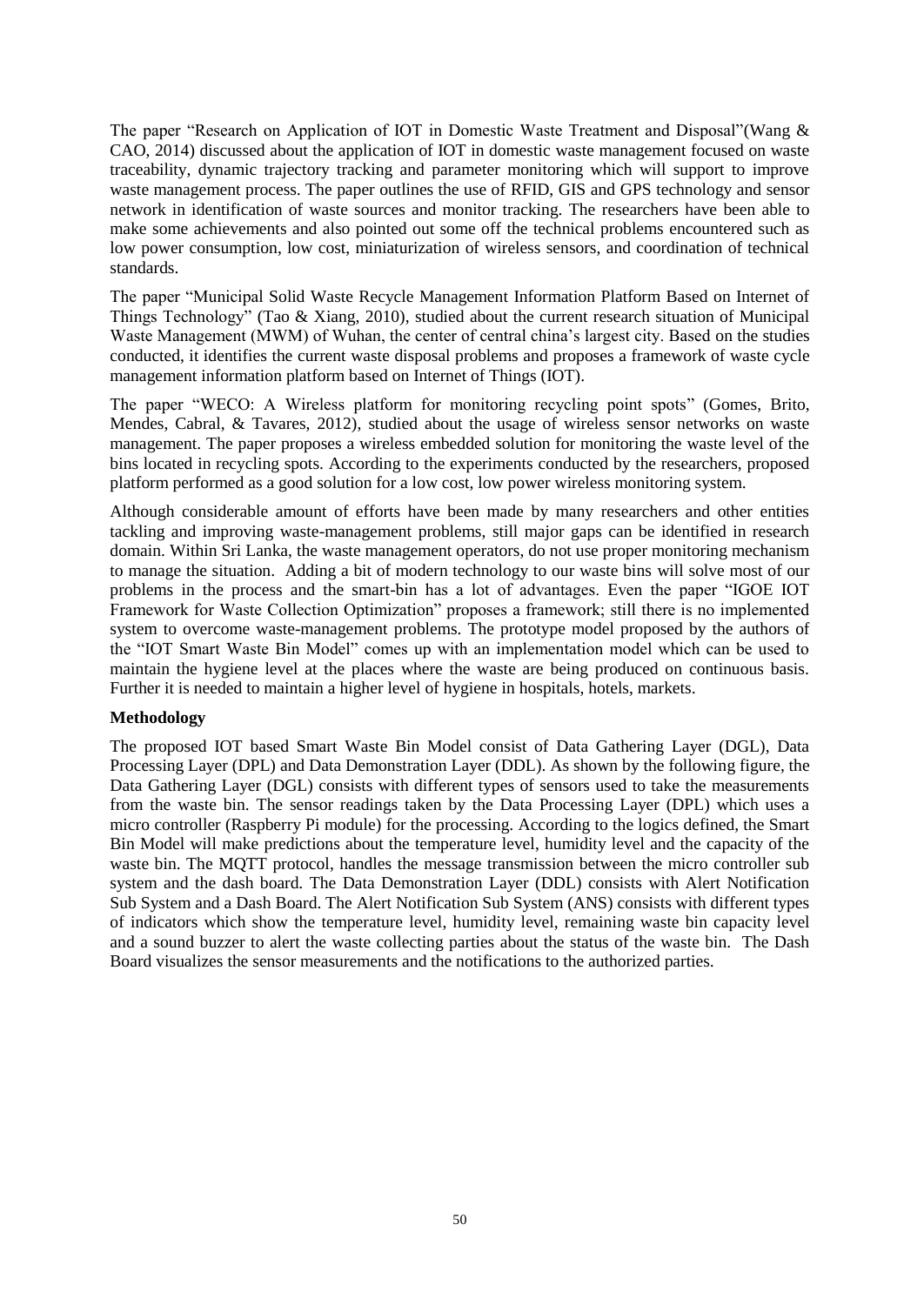The paper "Research on Application of IOT in Domestic Waste Treatment and Disposal"(Wang & CAO, 2014) discussed about the application of IOT in domestic waste management focused on waste traceability, dynamic trajectory tracking and parameter monitoring which will support to improve waste management process. The paper outlines the use of RFID, GIS and GPS technology and sensor network in identification of waste sources and monitor tracking. The researchers have been able to make some achievements and also pointed out some off the technical problems encountered such as low power consumption, low cost, miniaturization of wireless sensors, and coordination of technical standards.

The paper "Municipal Solid Waste Recycle Management Information Platform Based on Internet of Things Technology" (Tao & Xiang, 2010), studied about the current research situation of Municipal Waste Management (MWM) of Wuhan, the center of central china's largest city. Based on the studies conducted, it identifies the current waste disposal problems and proposes a framework of waste cycle management information platform based on Internet of Things (IOT).

The paper "WECO: A Wireless platform for monitoring recycling point spots" (Gomes, Brito, Mendes, Cabral, & Tavares, 2012), studied about the usage of wireless sensor networks on waste management. The paper proposes a wireless embedded solution for monitoring the waste level of the bins located in recycling spots. According to the experiments conducted by the researchers, proposed platform performed as a good solution for a low cost, low power wireless monitoring system.

Although considerable amount of efforts have been made by many researchers and other entities tackling and improving waste-management problems, still major gaps can be identified in research domain. Within Sri Lanka, the waste management operators, do not use proper monitoring mechanism to manage the situation. Adding a bit of modern technology to our waste bins will solve most of our problems in the process and the smart-bin has a lot of advantages. Even the paper "IGOE IOT Framework for Waste Collection Optimization" proposes a framework; still there is no implemented system to overcome waste-management problems. The prototype model proposed by the authors of the "IOT Smart Waste Bin Model" comes up with an implementation model which can be used to maintain the hygiene level at the places where the waste are being produced on continuous basis. Further it is needed to maintain a higher level of hygiene in hospitals, hotels, markets.

#### **Methodology**

The proposed IOT based Smart Waste Bin Model consist of Data Gathering Layer (DGL), Data Processing Layer (DPL) and Data Demonstration Layer (DDL). As shown by the following figure, the Data Gathering Layer (DGL) consists with different types of sensors used to take the measurements from the waste bin. The sensor readings taken by the Data Processing Layer (DPL) which uses a micro controller (Raspberry Pi module) for the processing. According to the logics defined, the Smart Bin Model will make predictions about the temperature level, humidity level and the capacity of the waste bin. The MQTT protocol, handles the message transmission between the micro controller sub system and the dash board. The Data Demonstration Layer (DDL) consists with Alert Notification Sub System and a Dash Board. The Alert Notification Sub System (ANS) consists with different types of indicators which show the temperature level, humidity level, remaining waste bin capacity level and a sound buzzer to alert the waste collecting parties about the status of the waste bin. The Dash Board visualizes the sensor measurements and the notifications to the authorized parties.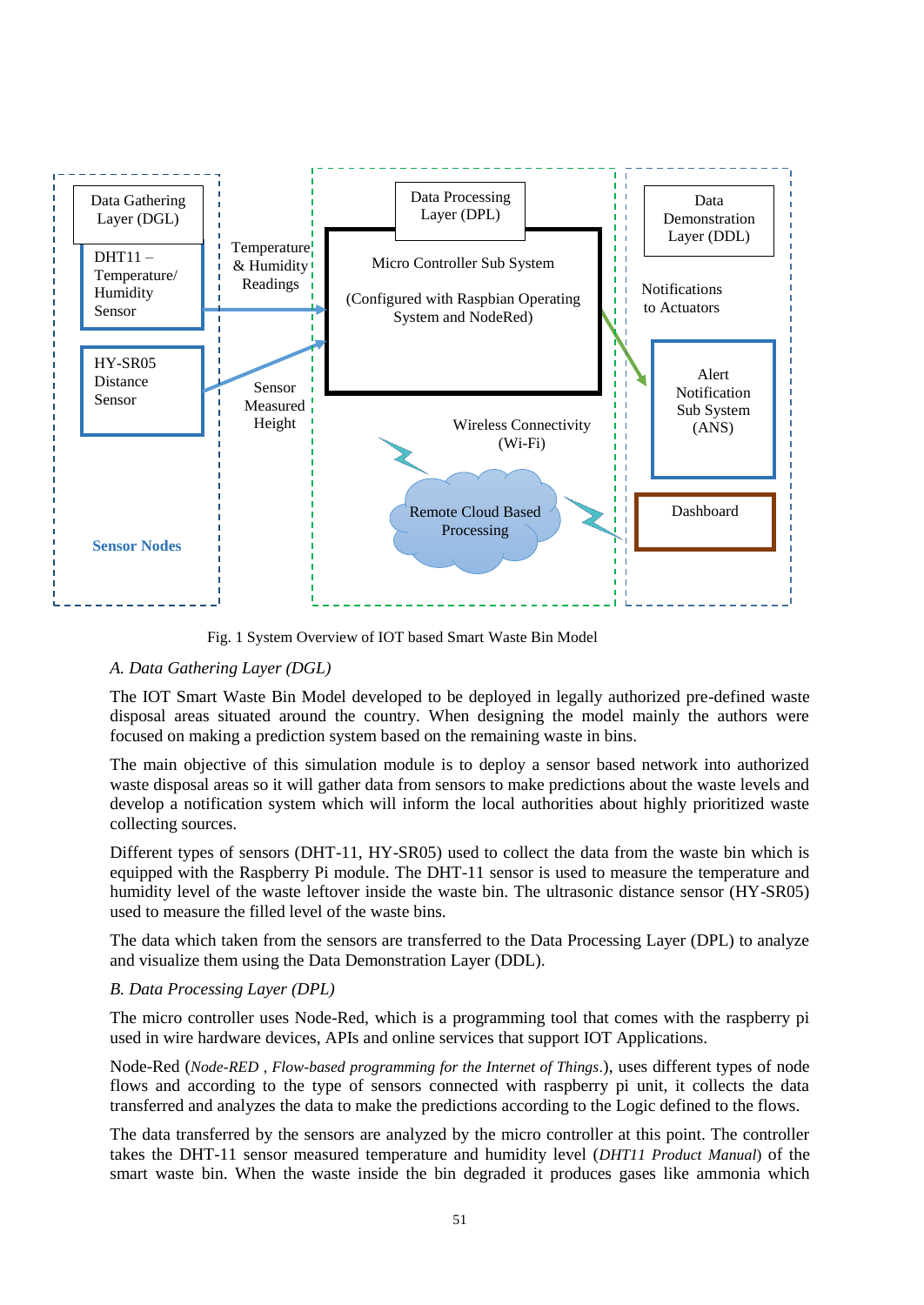

Fig. 1 System Overview of IOT based Smart Waste Bin Model

## *A. Data Gathering Layer (DGL)*

The IOT Smart Waste Bin Model developed to be deployed in legally authorized pre-defined waste disposal areas situated around the country. When designing the model mainly the authors were focused on making a prediction system based on the remaining waste in bins.

The main objective of this simulation module is to deploy a sensor based network into authorized waste disposal areas so it will gather data from sensors to make predictions about the waste levels and develop a notification system which will inform the local authorities about highly prioritized waste collecting sources.

Different types of sensors (DHT-11, HY-SR05) used to collect the data from the waste bin which is equipped with the Raspberry Pi module. The DHT-11 sensor is used to measure the temperature and humidity level of the waste leftover inside the waste bin. The ultrasonic distance sensor (HY-SR05) used to measure the filled level of the waste bins.

The data which taken from the sensors are transferred to the Data Processing Layer (DPL) to analyze and visualize them using the Data Demonstration Layer (DDL).

## *B. Data Processing Layer (DPL)*

The micro controller uses Node-Red, which is a programming tool that comes with the raspberry pi used in wire hardware devices, APIs and online services that support IOT Applications.

Node-Red (*Node-RED , Flow-based programming for the Internet of Things*.), uses different types of node flows and according to the type of sensors connected with raspberry pi unit, it collects the data transferred and analyzes the data to make the predictions according to the Logic defined to the flows.

The data transferred by the sensors are analyzed by the micro controller at this point. The controller takes the DHT-11 sensor measured temperature and humidity level (*DHT11 Product Manual*) of the smart waste bin. When the waste inside the bin degraded it produces gases like ammonia which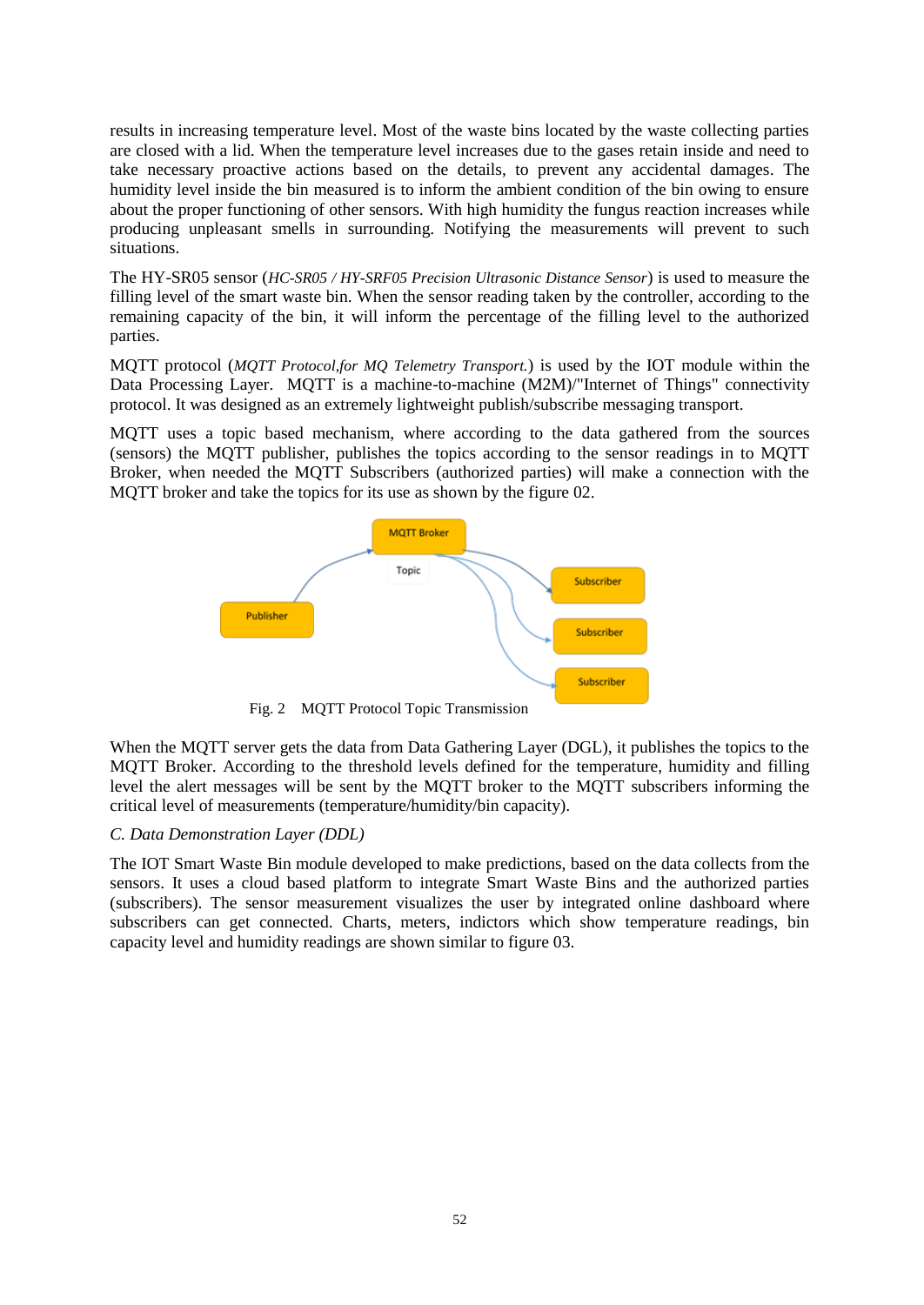results in increasing temperature level. Most of the waste bins located by the waste collecting parties are closed with a lid. When the temperature level increases due to the gases retain inside and need to take necessary proactive actions based on the details, to prevent any accidental damages. The humidity level inside the bin measured is to inform the ambient condition of the bin owing to ensure about the proper functioning of other sensors. With high humidity the fungus reaction increases while producing unpleasant smells in surrounding. Notifying the measurements will prevent to such situations.

The HY-SR05 sensor (*HC-SR05 / HY-SRF05 Precision Ultrasonic Distance Sensor*) is used to measure the filling level of the smart waste bin. When the sensor reading taken by the controller, according to the remaining capacity of the bin, it will inform the percentage of the filling level to the authorized parties.

MQTT protocol (*MQTT Protocol*,*for MQ Telemetry Transport.*) is used by the IOT module within the Data Processing Layer. MQTT is a machine-to-machine (M2M)/"Internet of Things" connectivity protocol. It was designed as an extremely lightweight publish/subscribe messaging transport.

MQTT uses a topic based mechanism, where according to the data gathered from the sources (sensors) the MQTT publisher, publishes the topics according to the sensor readings in to MQTT Broker, when needed the MQTT Subscribers (authorized parties) will make a connection with the MQTT broker and take the topics for its use as shown by the figure 02.



Fig. 2 MQTT Protocol Topic Transmission

When the MQTT server gets the data from Data Gathering Layer (DGL), it publishes the topics to the MQTT Broker. According to the threshold levels defined for the temperature, humidity and filling level the alert messages will be sent by the MQTT broker to the MQTT subscribers informing the critical level of measurements (temperature/humidity/bin capacity).

### *C. Data Demonstration Layer (DDL)*

The IOT Smart Waste Bin module developed to make predictions, based on the data collects from the sensors. It uses a cloud based platform to integrate Smart Waste Bins and the authorized parties (subscribers). The sensor measurement visualizes the user by integrated online dashboard where subscribers can get connected. Charts, meters, indictors which show temperature readings, bin capacity level and humidity readings are shown similar to figure 03.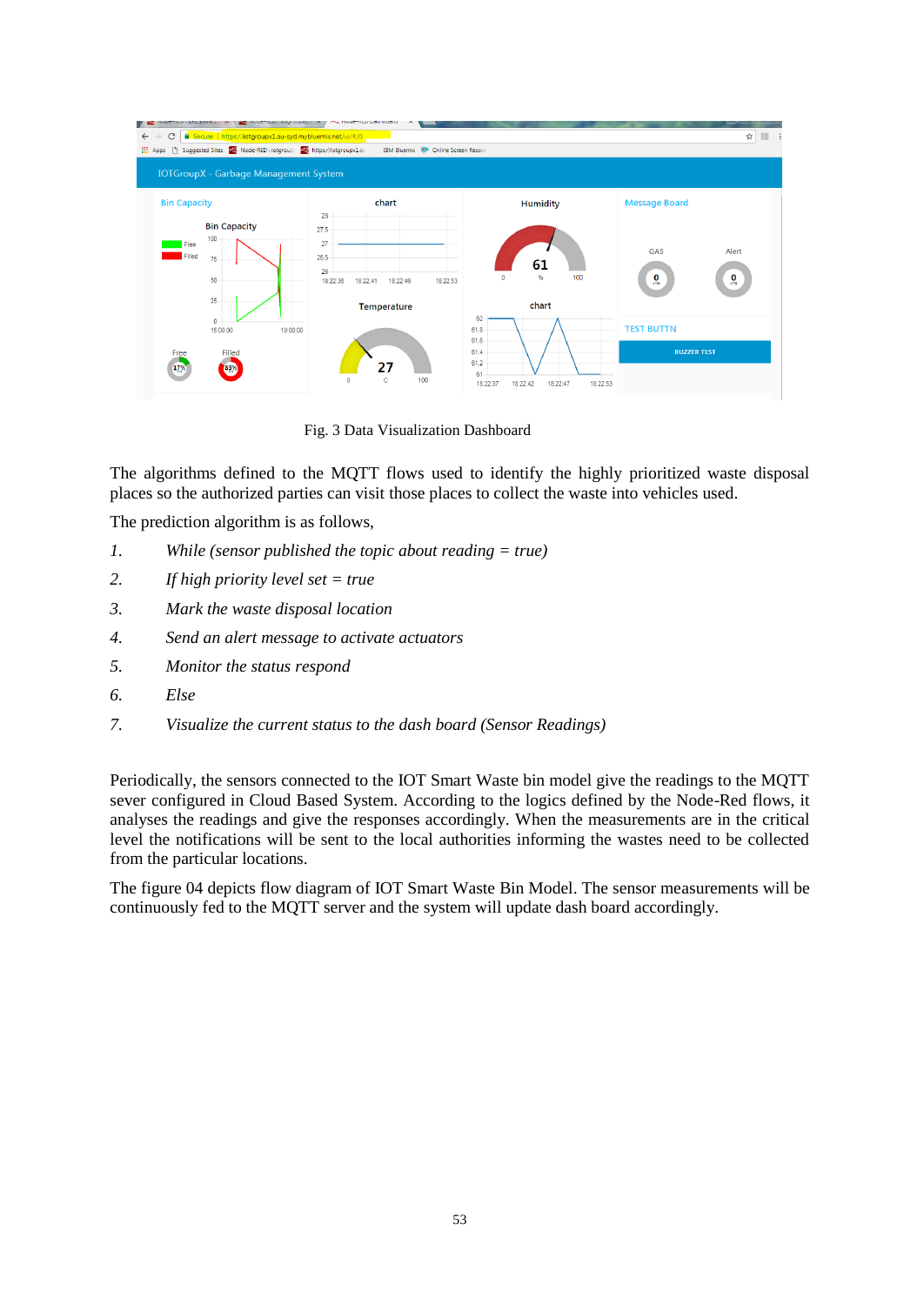| INVUCTIVELY FIDIOIDUPALIC A<br>THE INDUCTIVED DOSTIDUOID<br>But Secure   https://iotgroupx1.au-syd.mybluemix.net/ui/#/0<br>☆<br>四 :<br>C<br>$\leftarrow$<br>$\rightarrow$<br><b>III</b> Apps<br>IBM Bluemix <b>D</b> <sup>1</sup> Online Screen Record<br><b>IOTGroupX</b> - Garbage Management System |                                                                              |                                                                        |                                                |  |  |  |  |
|--------------------------------------------------------------------------------------------------------------------------------------------------------------------------------------------------------------------------------------------------------------------------------------------------------|------------------------------------------------------------------------------|------------------------------------------------------------------------|------------------------------------------------|--|--|--|--|
| <b>Bin Capacity</b><br><b>Bin Capacity</b>                                                                                                                                                                                                                                                             | chart<br>28                                                                  | <b>Humidity</b>                                                        | <b>Message Board</b>                           |  |  |  |  |
| 100<br>Free<br>Filled<br>75<br>50                                                                                                                                                                                                                                                                      | 27.5<br>27<br>$26.5 -$<br>26<br>18:22:36<br>18:22:53<br>18:22:41<br>18:22:46 | 61<br>100<br>%<br>$\bullet$                                            | GAS<br>Alert<br>$\frac{0}{2}$<br>$\frac{0}{2}$ |  |  |  |  |
| 25                                                                                                                                                                                                                                                                                                     | <b>Temperature</b>                                                           | chart<br>62                                                            |                                                |  |  |  |  |
| 0<br>15:00:00<br>19:00:00                                                                                                                                                                                                                                                                              |                                                                              | $61.8 -$<br>$61.6 -$                                                   | <b>TEST BUTTN</b>                              |  |  |  |  |
| Filled<br>Free<br>17%<br>83%                                                                                                                                                                                                                                                                           | 100<br>c<br>$\Omega$                                                         | 61.4<br>$61.2 -$<br>61<br>18:22:42<br>18:22:47<br>18:22:37<br>18:22:53 | <b>BUZZER TEST</b>                             |  |  |  |  |

Fig. 3 Data Visualization Dashboard

The algorithms defined to the MQTT flows used to identify the highly prioritized waste disposal places so the authorized parties can visit those places to collect the waste into vehicles used.

The prediction algorithm is as follows,

- *1. While (sensor published the topic about reading = true)*
- *2. If high priority level set = true*
- *3. Mark the waste disposal location*
- *4. Send an alert message to activate actuators*
- *5. Monitor the status respond*
- *6. Else*
- *7. Visualize the current status to the dash board (Sensor Readings)*

Periodically, the sensors connected to the IOT Smart Waste bin model give the readings to the MQTT sever configured in Cloud Based System. According to the logics defined by the Node-Red flows, it analyses the readings and give the responses accordingly. When the measurements are in the critical level the notifications will be sent to the local authorities informing the wastes need to be collected from the particular locations.

The figure 04 depicts flow diagram of IOT Smart Waste Bin Model. The sensor measurements will be continuously fed to the MQTT server and the system will update dash board accordingly.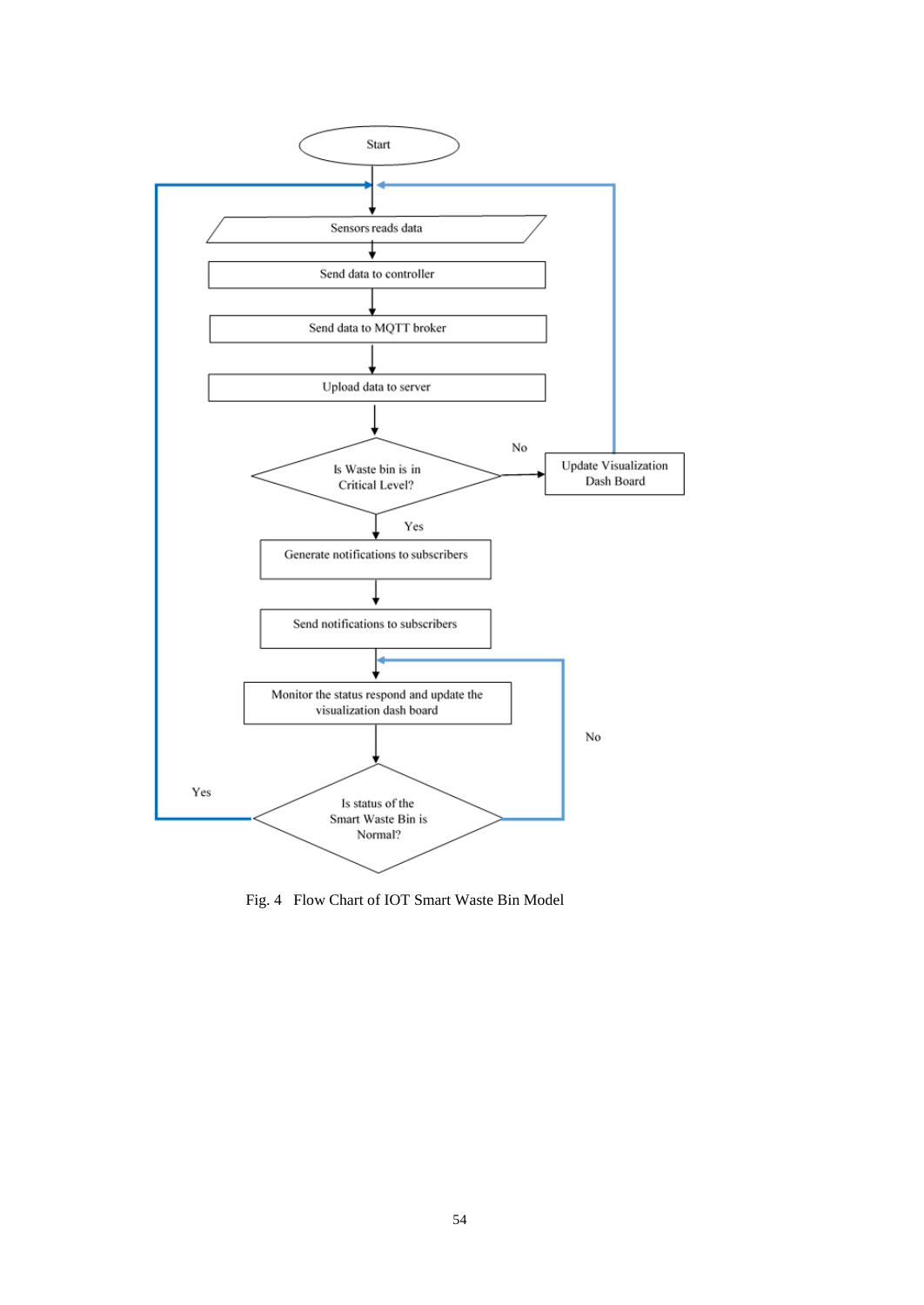

Fig. 4 Flow Chart of IOT Smart Waste Bin Model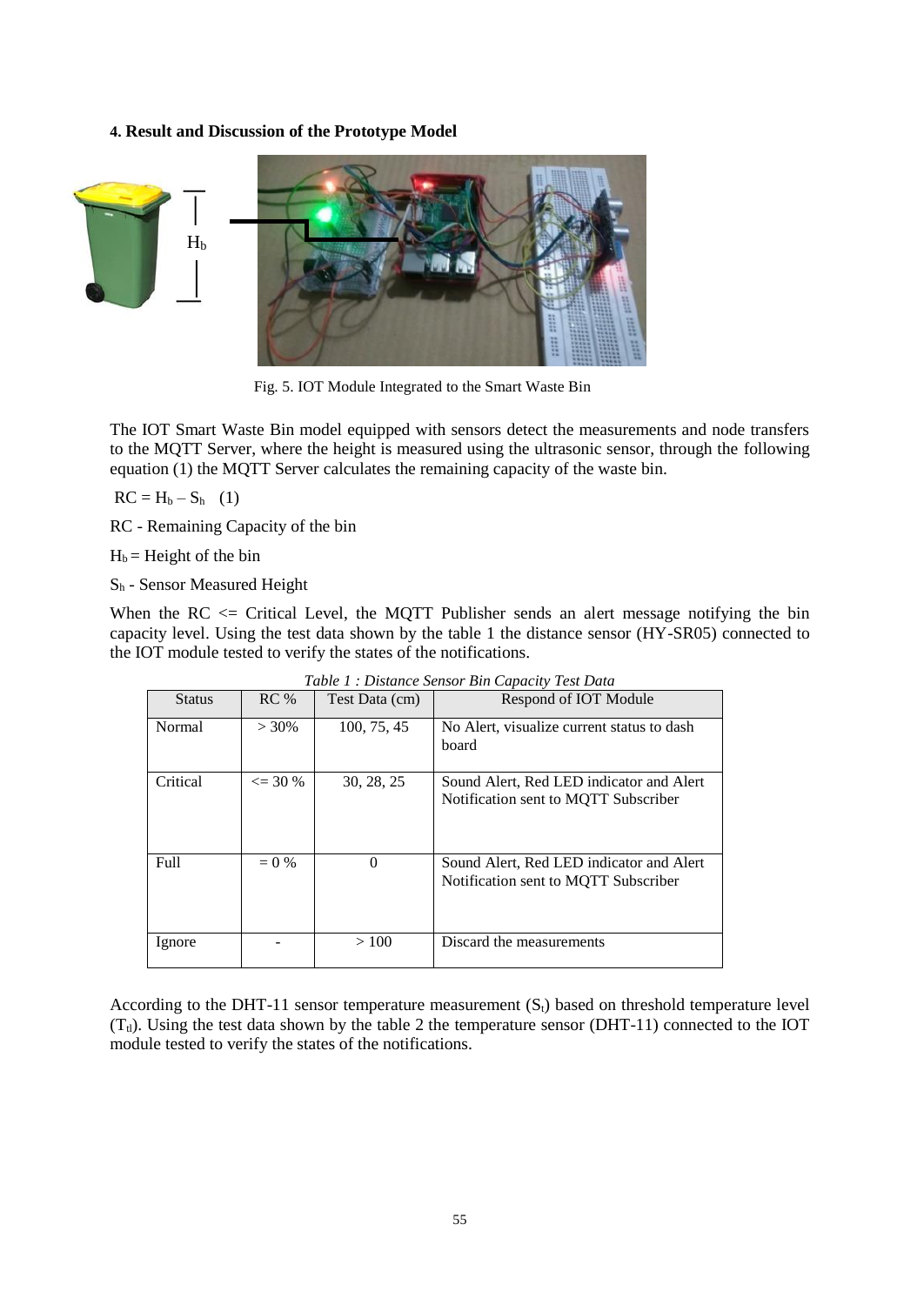**4. Result and Discussion of the Prototype Model**



Fig. 5. IOT Module Integrated to the Smart Waste Bin

The IOT Smart Waste Bin model equipped with sensors detect the measurements and node transfers to the MQTT Server, where the height is measured using the ultrasonic sensor, through the following equation (1) the MQTT Server calculates the remaining capacity of the waste bin.

 $RC = H_b - S_h$  (1)

RC - Remaining Capacity of the bin

 $H_b$  = Height of the bin

S<sup>h</sup> - Sensor Measured Height

When the RC  $\leq$  Critical Level, the MQTT Publisher sends an alert message notifying the bin capacity level. Using the test data shown by the table 1 the distance sensor (HY-SR05) connected to the IOT module tested to verify the states of the notifications.

| <b>Status</b> | $RC\%$            | Test Data (cm) | Respond of IOT Module                                                            |
|---------------|-------------------|----------------|----------------------------------------------------------------------------------|
| Normal        | $> 30\%$          | 100, 75, 45    | No Alert, visualize current status to dash<br>board                              |
| Critical      | $\epsilon = 30\%$ | 30, 28, 25     | Sound Alert, Red LED indicator and Alert<br>Notification sent to MOTT Subscriber |
| Full          | $= 0 \%$          | $\Omega$       | Sound Alert, Red LED indicator and Alert<br>Notification sent to MOTT Subscriber |
| Ignore        |                   | >100           | Discard the measurements                                                         |

*Table 1 : Distance Sensor Bin Capacity Test Data*

According to the DHT-11 sensor temperature measurement  $(S_t)$  based on threshold temperature level  $(T<sub>t</sub>)$ . Using the test data shown by the table 2 the temperature sensor (DHT-11) connected to the IOT module tested to verify the states of the notifications.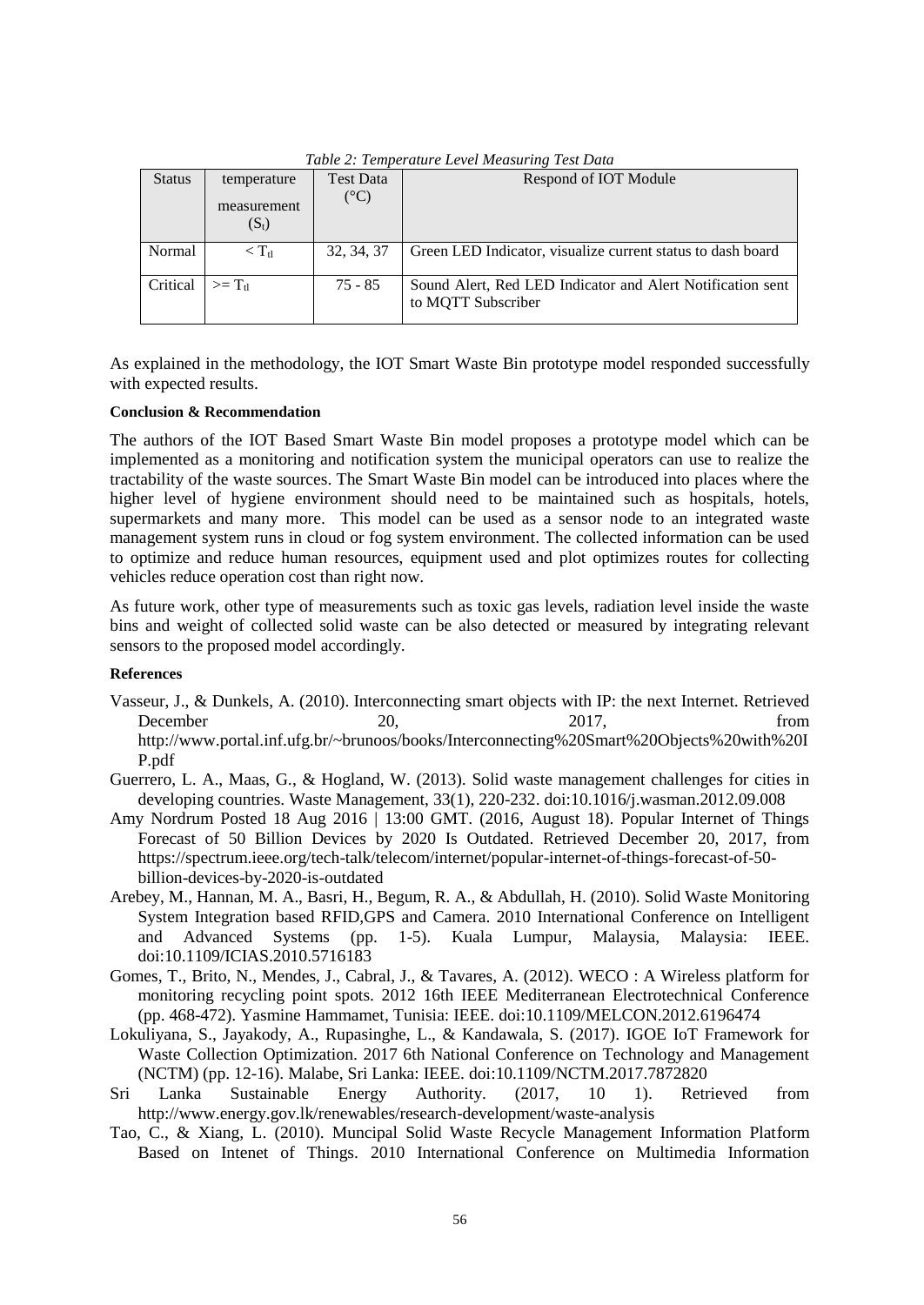| Tuble 2. Temperante Level measuring Test Duite |                        |                  |                                                                                  |  |
|------------------------------------------------|------------------------|------------------|----------------------------------------------------------------------------------|--|
| <b>Status</b>                                  | temperature            | <b>Test Data</b> | Respond of IOT Module                                                            |  |
|                                                | measurement<br>$(S_t)$ | $(^{\circ}C)$    |                                                                                  |  |
| Normal                                         | $\rm < T_{\rm fl}$     | 32, 34, 37       | Green LED Indicator, visualize current status to dash board                      |  |
| Critical                                       | $>= T_{\rm th}$        | $75 - 85$        | Sound Alert, Red LED Indicator and Alert Notification sent<br>to MQTT Subscriber |  |

*Table 2: Temperature Level Measuring Test Data*

As explained in the methodology, the IOT Smart Waste Bin prototype model responded successfully with expected results.

## **Conclusion & Recommendation**

The authors of the IOT Based Smart Waste Bin model proposes a prototype model which can be implemented as a monitoring and notification system the municipal operators can use to realize the tractability of the waste sources. The Smart Waste Bin model can be introduced into places where the higher level of hygiene environment should need to be maintained such as hospitals, hotels, supermarkets and many more. This model can be used as a sensor node to an integrated waste management system runs in cloud or fog system environment. The collected information can be used to optimize and reduce human resources, equipment used and plot optimizes routes for collecting vehicles reduce operation cost than right now.

As future work, other type of measurements such as toxic gas levels, radiation level inside the waste bins and weight of collected solid waste can be also detected or measured by integrating relevant sensors to the proposed model accordingly.

#### **References**

- Vasseur, J., & Dunkels, A. (2010). Interconnecting smart objects with IP: the next Internet. Retrieved December 20, 2017, from http://www.portal.inf.ufg.br/~brunoos/books/Interconnecting%20Smart%20Objects%20with%20I P.pdf
- Guerrero, L. A., Maas, G., & Hogland, W. (2013). Solid waste management challenges for cities in developing countries. Waste Management, 33(1), 220-232. doi:10.1016/j.wasman.2012.09.008
- Amy Nordrum Posted 18 Aug 2016 | 13:00 GMT. (2016, August 18). Popular Internet of Things Forecast of 50 Billion Devices by 2020 Is Outdated. Retrieved December 20, 2017, from https://spectrum.ieee.org/tech-talk/telecom/internet/popular-internet-of-things-forecast-of-50 billion-devices-by-2020-is-outdated
- Arebey, M., Hannan, M. A., Basri, H., Begum, R. A., & Abdullah, H. (2010). Solid Waste Monitoring System Integration based RFID,GPS and Camera. 2010 International Conference on Intelligent and Advanced Systems (pp. 1-5). Kuala Lumpur, Malaysia, Malaysia: IEEE. doi:10.1109/ICIAS.2010.5716183
- Gomes, T., Brito, N., Mendes, J., Cabral, J., & Tavares, A. (2012). WECO : A Wireless platform for monitoring recycling point spots. 2012 16th IEEE Mediterranean Electrotechnical Conference (pp. 468-472). Yasmine Hammamet, Tunisia: IEEE. doi:10.1109/MELCON.2012.6196474
- Lokuliyana, S., Jayakody, A., Rupasinghe, L., & Kandawala, S. (2017). IGOE IoT Framework for Waste Collection Optimization. 2017 6th National Conference on Technology and Management (NCTM) (pp. 12-16). Malabe, Sri Lanka: IEEE. doi:10.1109/NCTM.2017.7872820
- Sri Lanka Sustainable Energy Authority. (2017, 10 1). Retrieved from http://www.energy.gov.lk/renewables/research-development/waste-analysis
- Tao, C., & Xiang, L. (2010). Muncipal Solid Waste Recycle Management Information Platform Based on Intenet of Things. 2010 International Conference on Multimedia Information